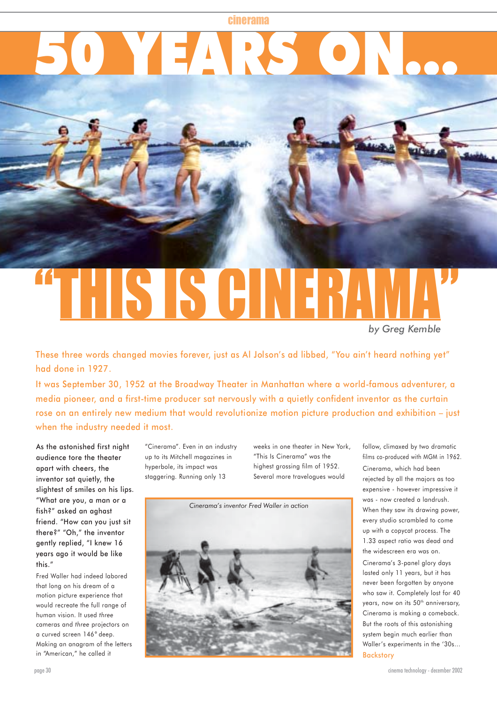## **6 YEARS**

# S IS AIN

*by Greg Kemble*

These three words changed movies forever, just as Al Jolson's ad libbed, "You ain't heard nothing yet" had done in 1927.

It was September 30, 1952 at the Broadway Theater in Manhattan where a world-famous adventurer, a media pioneer, and a first-time producer sat nervously with a quietly confident inventor as the curtain rose on an entirely new medium that would revolutionize motion picture production and exhibition – just when the industry needed it most.

As the astonished first night audience tore the theater apart with cheers, the inventor sat quietly, the slightest of smiles on his lips. "What are you, a man or a fish?" asked an aghast friend. "How can you just sit there?" "Oh," the inventor gently replied, "I knew 16 years ago it would be like this."

Fred Waller had indeed labored that long on his dream of a motion picture experience that would recreate the full range of human vision. It used *three* cameras and *three* projectors on a curved screen 146° deep. Making an anagram of the letters in "American," he called it

"Cinerama". Even in an industry up to its Mitchell magazines in hyperbole, its impact was staggering. Running only 13

weeks in one theater in New York, "This Is Cinerama" was the highest grossing film of 1952. Several more travelogues would



follow, climaxed by two dramatic films co-produced with MGM in 1962. Cinerama, which had been rejected by all the majors as too expensive - however impressive it was - now created a landrush. When they saw its drawing power, every studio scrambled to come up with a copycat process. The 1.33 aspect ratio was dead and the widescreen era was on.

Cinerama's 3-panel glory days lasted only 11 years, but it has never been forgotten by anyone who saw it. Completely lost for 40 years, now on its 50<sup>th</sup> anniversary, Cinerama is making a comeback. But the roots of this astonishing system begin much earlier than Waller's experiments in the '30s… **Backstory**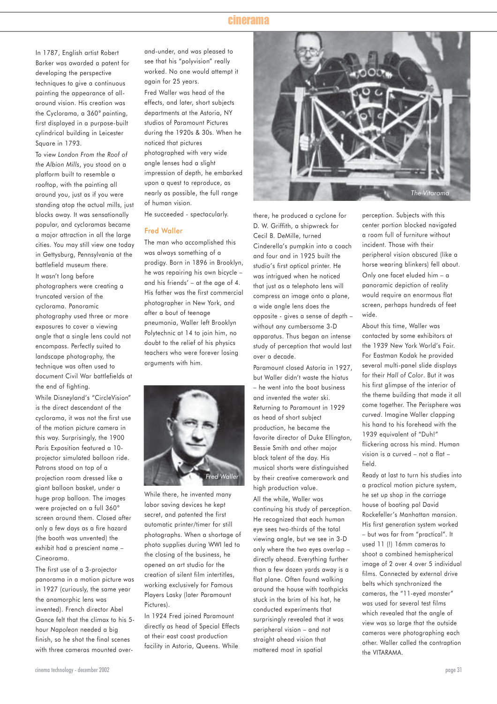In 1787, English artist Robert Barker was awarded a patent for developing the perspective techniques to give a continuous painting the appearance of allaround vision. His creation was the Cyclorama, a 360° painting, first displayed in a purpose-built cylindrical building in Leicester Square in 1793.

To view *London From the Roof of the Albion Mills*, you stood on a platform built to resemble a rooftop, with the painting all around you, just as if you were standing atop the actual mills, just blocks away. It was sensationally popular, and cycloramas became a major attraction in all the large cities. You may still view one today in Gettysburg, Pennsylvania at the battlefield museum there.

It wasn't long before photographers were creating a truncated version of the cyclorama. Panoramic photography used three or more exposures to cover a viewing angle that a single lens could not encompass. Perfectly suited to landscape photography, the technique was often used to document Civil War battlefields at the end of fighting.

While Disneyland's "CircleVision" is the direct descendant of the cyclorama, it was not the first use of the motion picture camera in this way. Surprisingly, the 1900 Paris Exposition featured a 10 projector simulated balloon ride. Patrons stood on top of a projection room dressed like a giant balloon basket, under a huge prop balloon. The images were projected on a full 360° screen around them. Closed after only a few days as a fire hazard (the booth was unvented) the exhibit had a prescient name – Cineorama.

The first use of a 3-projector panorama in a motion picture was in 1927 (curiously, the same year the anamorphic lens was invented). French director Abel Gance felt that the climax to his 5 hour *Napoleon* needed a big finish, so he shot the final scenes with three cameras mounted overand-under, and was pleased to see that his "polyvision" really worked. No one would attempt it again for 25 years. Fred Waller was head of the effects, and later, short subjects departments at the Astoria, NY studios of Paramount Pictures during the 1920s & 30s. When he noticed that pictures photographed with very wide angle lenses had a slight impression of depth, he embarked upon a quest to reproduce, as nearly as possible, the full range of human vision.

He succeeded - spectacularly.

#### Fred Waller

The man who accomplished this was always something of a prodigy. Born in 1896 in Brooklyn, he was repairing his own bicycle – and his friends' – at the age of 4. His father was the first commercial photographer in New York, and after a bout of teenage pneumonia, Waller left Brooklyn Polytechnic at 14 to join him, no doubt to the relief of his physics teachers who were forever losing arguments with him.



While there, he invented many labor saving devices he kept secret, and patented the first automatic printer/timer for still photographs. When a shortage of photo supplies during WWI led to the closing of the business, he opened an art studio for the creation of silent film intertitles, working exclusively for Famous Players Lasky (later Paramount Pictures).

In 1924 Fred joined Paramount directly as head of Special Effects at their east coast production facility in Astoria, Queens. While



there, he produced a cyclone for D. W. Griffith, a shipwreck for Cecil B. DeMille, turned Cinderella's pumpkin into a coach and four and in 1925 built the studio's first optical printer. He was intrigued when he noticed that just as a telephoto lens will compress an image onto a plane, a wide angle lens does the opposite - gives a sense of depth – without any cumbersome 3-D apparatus. Thus began an intense study of perception that would last over a decade.

Paramount closed Astoria in 1927, but Waller didn't waste the hiatus – he went into the boat business and invented the water ski. Returning to Paramount in 1929 as head of short subject production, he became the favorite director of Duke Ellington, Bessie Smith and other major black talent of the day. His musical shorts were distinguished by their creative camerawork and high production value.

All the while, Waller was continuing his study of perception. He recognized that each human eye sees two-thirds of the total viewing angle, but we see in 3-D only where the two eyes overlap – directly ahead. Everything further than a few dozen yards away is a flat plane. Often found walking around the house with toothpicks stuck in the brim of his hat, he conducted experiments that surprisingly revealed that it was peripheral vision – and not straight ahead vision that mattered most in spatial

perception. Subjects with this center portion blocked navigated a room full of furniture without incident. Those with their peripheral vision obscured (like a horse wearing blinkers) fell about. Only one facet eluded him – a panoramic depiction of reality would require an enormous flat screen, perhaps hundreds of feet wide.

About this time, Waller was contacted by some exhibitors at the 1939 New York World's Fair. For Eastman Kodak he provided several multi-panel slide displays for their *Hall of Color*. But it was his first glimpse of the interior of the theme building that made it all come together. The Perisphere was *curved*. Imagine Waller clapping his hand to his forehead with the 1939 equivalent of "Duh!" flickering across his mind. Human vision is a curved – not a flat – field.

Ready at last to turn his studies into a practical motion picture system, he set up shop in the carriage house of boating pal David Rockefeller's Manhattan mansion. His first generation system worked – but was far from "practical". It used 11 (!) 16mm cameras to shoot a combined hemispherical image of 2 over 4 over 5 individual films. Connected by external drive belts which synchronized the cameras, the "11-eyed monster" was used for several test films which revealed that the angle of view was so large that the outside cameras were photographing each other. Waller called the contraption the VITARAMA.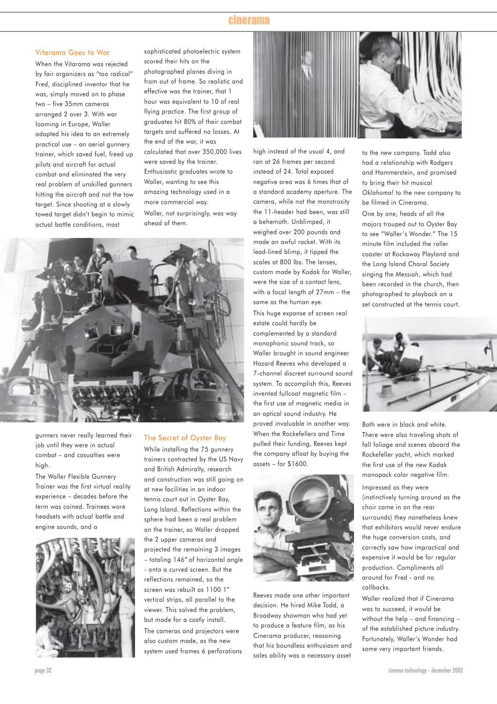### Vitarama Goes to War

When the Vitarama was rejected by fair organizers as "too radical" Fred, disciplined inventor that he was, simply moved on to phase two – five 35mm cameras arranged 2 over 3. With war looming in Europe, Waller adapted his idea to an extremely practical use – an aerial gunnery trainer, which saved fuel, freed up pilots and aircraft for actual combat and eliminated the very real problem of unskilled gunners hitting the aircraft and not the tow target. Since shooting at a slowly towed target didn't begin to mimic actual battle conditions, most

sophisticated photoelectric system scored their hits on the photographed planes diving in from out of frame. So realistic and effective was the trainer, that 1 hour was equivalent to 10 of real flying practice. The first group of graduates hit 80% of their combat targets and suffered no losses. At the end of the war, it was calculated that over 350,000 lives were saved by the trainer. Enthusiastic graduates wrote to Waller, wanting to see this amazing technology used in a more commercial way. Waller, not surprisingly, was way ahead of them.



gunners never really learned their job until they were in actual combat – and casualties were high.

The Waller Flexible Gunnery Trainer was the first virtual reality experience – decades before the term was coined. Trainees wore headsets with actual battle and engine sounds, and a



#### The Secret of Oyster Bay

While installing the 75 gunnery trainers contracted by the US Navy and British Admiralty, research and construction was still going on at new facilities in an indoor tennis court out in Oyster Bay, Long Island. Reflections within the sphere had been a real problem on the trainer, so Waller dropped the 2 upper cameras and projected the remaining 3 images – totaling 146° of horizontal angle - onto a curved screen. But the reflections remained, so the screen was rebuilt as 1100 1" vertical strips, all parallel to the viewer. This solved the problem, but made for a costly install. The cameras and projectors were also custom made, as the new system used frames 6 perforations



high instead of the usual 4, and ran at 26 frames per second instead of 24. Total exposed negative area was 6 times that of a standard academy aperture. The camera, while not the monstrosity the 11-header had been, was still a behemoth. Unblimped, it weighed over 200 pounds and made an awful racket. With its lead-lined blimp, it tipped the scales at 800 lbs. The lenses, custom made by Kodak for Waller, were the size of a contact lens, with a focal length of 27mm – the same as the human eye. This huge expanse of screen real estate could hardly be complemented by a standard monophonic sound track, so Waller brought in sound engineer Hazard Reeves who developed a 7-channel discreet surround sound system. To accomplish this, Reeves invented fullcoat magnetic film – the first use of magnetic media in an optical sound industry. He proved invaluable in another way. When the Rockefellers and Time pulled their funding, Reeves kept the company afloat by buying the assets – for \$1600.



Reeves made one other important decision. He hired Mike Todd, a Broadway showman who had yet to produce a feature film, as his Cinerama producer, reasoning that his boundless enthusiasm and sales ability was a necessary asset

to the new company. Todd also had a relationship with Rodgers and Hammerstein, and promised to bring their hit musical *Oklahoma!* to the new company to be filmed in Cinerama.

One by one, heads of all the majors trouped out to Oyster Bay to see "Waller's Wonder." The 15 minute film included the roller coaster at Rockaway Playland and the Long Island Choral Society singing the *Messiah*, which had been recorded in the church, then photographed to playback on a set constructed at the tennis court.



Both were in black and white. There were also traveling shots of fall foliage and scenes aboard the Rockefeller yacht, which marked the first use of the new Kodak monopack color negative film.

Impressed as they were (instinctively turning around as the choir came in on the rear surrounds) they nonetheless knew that exhibitors would never endure the huge conversion costs, and correctly saw how impractical and expensive it would be for regular production. Compliments all around for Fred - and no callbacks.

Waller realized that if Cinerama was to succeed, it would be without the help – and financing – of the established picture industry. Fortunately, Waller's Wonder had some very important friends.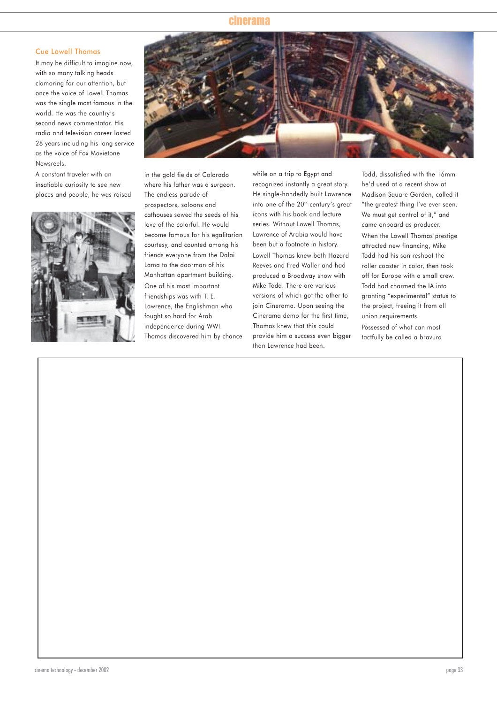### Cue Lowell Thomas

It may be difficult to imagine now, with so many talking heads clamoring for our attention, but once the voice of Lowell Thomas was the single most famous in the world. He was the country's second news commentator. His radio and television career lasted 28 years including his long service as the voice of Fox Movietone Newsreels.

A constant traveler with an insatiable curiosity to see new places and people, he was raised





in the gold fields of Colorado where his father was a surgeon. The endless parade of prospectors, saloons and cathouses sowed the seeds of his love of the colorful. He would become famous for his egalitarian courtesy, and counted among his friends everyone from the Dalai Lama to the doorman of his Manhattan apartment building. One of his most important friendships was with T. E. Lawrence, the Englishman who fought so hard for Arab independence during WWI. Thomas discovered him by chance

while on a trip to Egypt and recognized instantly a great story. He single-handedly built Lawrence into one of the 20<sup>th</sup> century's great icons with his book and lecture series. Without Lowell Thomas, Lawrence of Arabia would have been but a footnote in history. Lowell Thomas knew both Hazard Reeves and Fred Waller and had produced a Broadway show with Mike Todd. There are various versions of which got the other to join Cinerama. Upon seeing the Cinerama demo for the first time, Thomas knew that this could provide him a success even bigger than Lawrence had been.

Todd, dissatisfied with the 16mm he'd used at a recent show at Madison Square Garden, called it "the greatest thing I've ever seen. We must get control of it," and came onboard as producer. When the Lowell Thomas prestige attracted new financing, Mike Todd had his son reshoot the roller coaster in color, then took off for Europe with a small crew. Todd had charmed the IA into granting "experimental" status to the project, freeing it from all union requirements.

Possessed of what can most tactfully be called a bravura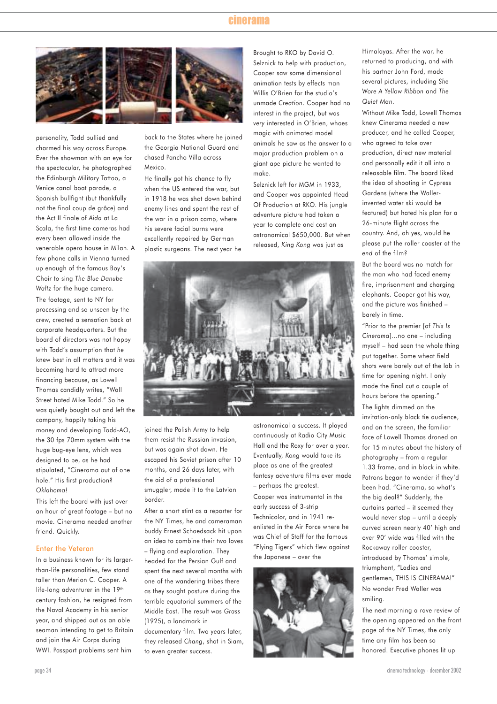

personality, Todd bullied and charmed his way across Europe. Ever the showman with an eye for the spectacular, he photographed the Edinburgh Military Tattoo, a Venice canal boat parade, a Spanish bullfight (but thankfully not the final coup de grâce) and the Act II finale of *Aida* at La Scala, the first time cameras had every been allowed inside the venerable opera house in Milan. A few phone calls in Vienna turned up enough of the famous Boy's Choir to sing *The Blue Danube Waltz* for the huge camera.

The footage, sent to NY for processing and so unseen by the crew, created a sensation back at corporate headquarters. But the board of directors was not happy with Todd's assumption that *he* knew best in all matters and it was becoming hard to attract more financing because, as Lowell Thomas candidly writes, "Wall Street hated Mike Todd." So he was quietly bought out and left the company, happily taking his money and developing Todd-AO, the 30 fps 70mm system with the huge bug-eye lens, which was designed to be, as he had stipulated, "Cinerama out of one hole." His first production? *Oklahoma!*

This left the board with just over an hour of great footage – but no movie. Cinerama needed another friend. Quickly.

#### Enter the Veteran

In a business known for its largerthan-life personalities, few stand taller than Merion C. Cooper. A life-long adventurer in the 19<sup>th</sup> century fashion, he resigned from the Naval Academy in his senior year, and shipped out as an able seaman intending to get to Britain and join the Air Corps during WWI. Passport problems sent him

back to the States where he joined the Georgia National Guard and chased Pancho Villa across Mexico.

He finally got his chance to fly when the US entered the war, but in 1918 he was shot down behind enemy lines and spent the rest of the war in a prison camp, where his severe facial burns were excellently repaired by German plastic surgeons. The next year he

Brought to RKO by David O. Selznick to help with production, Cooper saw some dimensional animation tests by effects man Willis O'Brien for the studio's unmade *Creation*. Cooper had no interest in the project, but was *very* interested in O'Brien, whoes magic with animated model animals he saw as the answer to a major production problem on a giant ape picture he wanted to make.

Selznick left for MGM in 1933, and Cooper was appointed Head Of Production at RKO. His jungle adventure picture had taken a year to complete and cost an astronomical \$650,000. But when released, *King Kong* was just as



joined the Polish Army to help them resist the Russian invasion, but was again shot down. He escaped his Soviet prison after 10 months, and 26 days later, with the aid of a professional smuggler, made it to the Latvian border.

After a short stint as a reporter for the NY Times, he and cameraman buddy Ernest Schoedsack hit upon an idea to combine their two loves

– flying and exploration. They headed for the Persian Gulf and spent the next several months with one of the wandering tribes there as they sought pasture during the terrible equatorial summers of the Middle East. The result was *Grass* (1925), a landmark in

documentary film. Two years later, they released *Chang*, shot in Siam, to even greater success.

astronomical a success. It played continuously at Radio City Music Hall and the Roxy for over a year. Eventually, *Kong* would take its place as one of the greatest fantasy adventure films ever made – perhaps the greatest.

Cooper was instrumental in the early success of 3-strip Technicolor, and in 1941 reenlisted in the Air Force where he was Chief of Staff for the famous "Flying Tigers" which flew against the Japanese – over the



Himalayas. After the war, he returned to producing, and with his partner John Ford, made several pictures, including *She Wore A Yellow Ribbon* and *The Quiet Man*.

Without Mike Todd, Lowell Thomas knew Cinerama needed a new producer, and he called Cooper, who agreed to take over production, direct new material and personally edit it all into a releasable film. The board liked the idea of shooting in Cypress Gardens (where the Wallerinvented water ski would be featured) but hated his plan for a 26-minute flight across the country. And, oh yes, would he please put the roller coaster at the *end* of the film?

But the board was no match for the man who had faced enemy fire, imprisonment and charaina elephants. Cooper got his way, and the picture was finished – barely in time.

"Prior to the premier [of *This Is Cinerama*]…no one – including myself – had seen the whole thing put together. Some wheat field shots were barely out of the lab in time for opening night. I only made the final cut a couple of hours before the opening." The lights dimmed on the invitation-only black tie audience, and on the screen, the familiar face of Lowell Thomas droned on for 15 minutes about the history of photography – from a regular 1.33 frame, and in black in white. Patrons began to wonder if they'd been had. "Cinerama, so what's the big deal?" Suddenly, the curtains parted – it seemed they would never stop – until a deeply curved screen nearly 40' high and over 90' wide was filled with the Rockaway roller coaster, introduced by Thomas' simple, triumphant, "Ladies and gentlemen, THIS IS CINERAMA!" No wonder Fred Waller was smiling.

The next morning a rave review of the opening appeared on the front page of the NY Times, the only time any film has been so honored. Executive phones lit up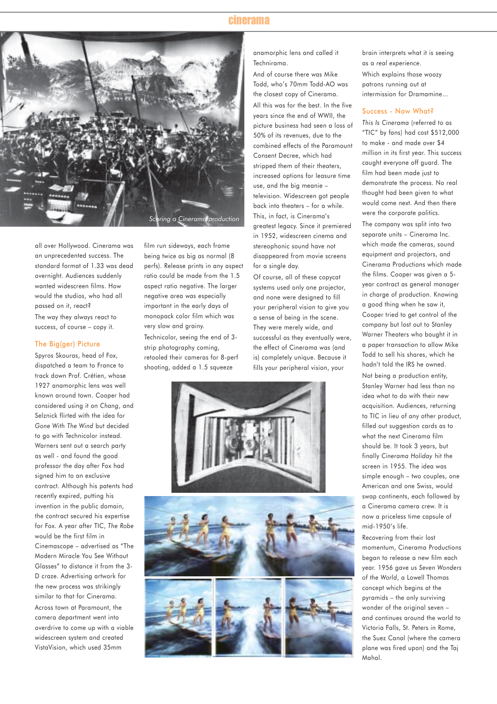

all over Hollywood. Cinerama was an unprecedented success. The standard format of 1.33 was dead overnight. Audiences suddenly wanted widescreen films. How would the studios, who had all passed on it, react? The way they always react to success, of course – copy it.

#### The Big(ger) Picture

Spyros Skouras, head of Fox, dispatched a team to France to track down Prof. Crétien, whose 1927 anamorphic lens was well known around town. Cooper had considered using it on *Chang*, and Selznick flirted with the idea for *Gone With The Wind* but decided to go with Technicolor instead. Warners sent out a search party as well - and found the good professor the day after Fox had signed him to an exclusive contract. Although his patents had recently expired, putting his invention in the public domain, the contract secured his expertise for Fox. A year after TIC, *The Robe* would be the first film in Cinemascope – advertised as "The Modern Miracle You See Without Glasses" to distance it from the 3- D craze. Advertising artwork for the new process was strikingly similar to that for Cinerama. Across town at Paramount, the camera department went into overdrive to come up with a viable widescreen system and created VistaVision, which used 35mm

film run sideways, each frame being twice as big as normal (8 perfs). Release prints in any aspect ratio could be made from the 1.5 aspect ratio negative. The larger negative area was especially important in the early days of monopack color film which was very slow and grainy. Technicolor, seeing the end of 3 strip photography coming, retooled their cameras for 8-perf shooting, added a 1.5 squeeze

anamorphic lens and called it Technirama.

And of course there was Mike Todd, who's 70mm Todd-AO was the closest copy of Cinerama. All this was for the best. In the five years since the end of WWII, the picture business had seen a loss of 50% of its revenues, due to the combined effects of the Paramount Consent Decree, which had stripped them of their theaters, increased options for leasure time use, and the big meanie – television. Widescreen got people back into theaters – for a while. This, in fact, is Cinerama's greatest legacy. Since it premiered in 1952, widescreen cinema and stereophonic sound have not disappeared from movie screens for a single day.

Of course, all of these copycat systems used only one projector, and none were designed to fill your peripheral vision to give you a sense of being in the scene. They were merely wide, and successful as they eventually were, the effect of Cinerama was (and is) completely unique. Because it fills your peripheral vision, your



brain interprets what it is seeing as a *real experience*. Which explains those woozy patrons running out at intermission for Dramamine…

### Success - Now What?

*This Is Cinerama* (referred to as "TIC" by fans) had cost \$512,000 to make - and made over \$4 million in its first year. This success caught everyone off guard. The film had been made just to demonstrate the process. No real thought had been given to what would come next. And then there were the corporate politics.

The company was split into two separate units – Cinerama Inc. which made the cameras, sound equipment and projectors, and Cinerama Productions which made the films. Cooper was given a 5 year contract as general manager in charge of production. Knowing a good thing when he saw it, Cooper tried to get control of the company but lost out to Stanley Warner Theaters who bought it in a paper transaction to allow Mike Todd to sell his shares, which he hadn't told the IRS he owned.

Not being a production entity, Stanley Warner had less than no idea what to do with their new acquisition. Audiences, returning to TIC in lieu of any other product, filled out suggestion cards as to what the next Cinerama film should be. It took 3 years, but finally *Cinerama Holiday* hit the screen in 1955. The idea was simple enough – two couples, one American and one Swiss, would swap continents, each followed by a Cinerama camera crew. It is now a priceless time capsule of mid-1950's life.

Recovering from their lost momentum, Cinerama Productions began to release a new film each year. 1956 gave us *Seven Wonders of the World*, a Lowell Thomas concept which begins at the pyramids – the only surviving wonder of the original seven – and continues around the world to Victoria Falls, St. Peters in Rome, the Suez Canal (where the camera plane was fired upon) and the Taj Mahal.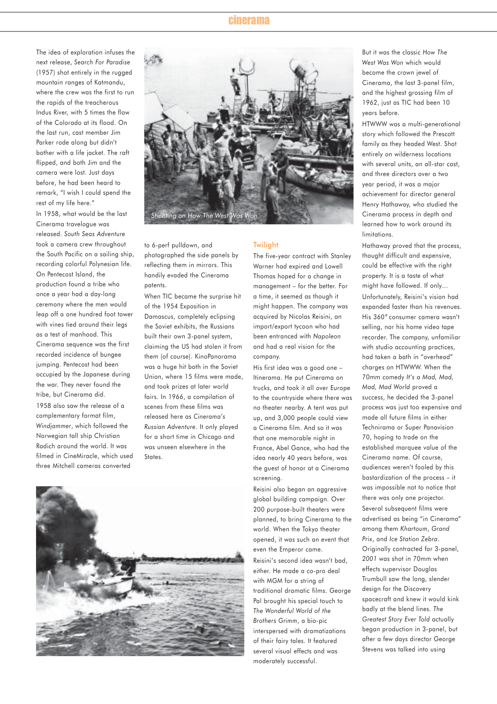The idea of exploration infuses the next release, *Search For Paradise* (1957) shot entirely in the rugged mountain ranges of Katmandu, where the crew was the first to run the rapids of the treacherous Indus River, with 5 times the flow of the Colorado at its flood. On the last run, cast member Jim Parker rode along but didn't bother with a life jacket. The raft flipped, and both Jim and the camera were lost. Just days before, he had been heard to remark, "I wish I could spend the rest of my life here." In 1958, what would be the last Cinerama travelogue was released. *South Seas Adventure* took a camera crew throughout the South Pacific on a sailing ship, recording colorful Polynesian life. On Pentecost Island, the production found a tribe who once a year had a day-long ceremony where the men would leap off a one hundred foot tower with vines tied around their legs as a test of manhood. This Cinerama sequence was the first recorded incidence of bungee jumping. Pentecost had been occupied by the Japanese during the war. They never found the tribe, but Cinerama did.

1958 also saw the release of a complementary format film, *Windjammer*, which followed the Norwegian tall ship Christian Radich around the world. It was filmed in CineMiracle, which used three Mitchell cameras converted



to 6-perf pulldown, and photographed the side panels by reflecting them in mirrors. This handily evaded the Cinerama patents.

When TIC became the surprise hit of the 1954 Exposition in Damascus, completely eclipsing the Soviet exhibits, the Russians built their own 3-panel system, claiming the US had stolen it from them (of course). KinoPanorama was a huge hit both in the Soviet Union, where 15 films were made, and took prizes at later world fairs. In 1966, a compilation of scenes from these films was released here as *Cinerama's Russian Adventure*. It only played for a short time in Chicago and was unseen elsewhere in the States.



## **Twilight**

The five-year contract with Stanley Warner had expired and Lowell Thomas hoped for a change in management – for the better. For a time, it seemed as though it might happen. The company was acquired by Nicolas Reisini, an import/export tycoon who had been entranced with *Napoleon* and had a real vision for the company.

His first idea was a good one – Itinerama. He put Cinerama on trucks, and took it all over Europe to the countryside where there was no theater nearby. A tent was put up, and 3,000 people could view a Cinerama film. And so it was that one memorable night in France, Abel Gance, who had the idea nearly 40 years before, was the guest of honor at a Cinerama screening.

Reisini also began an aggressive global building campaign. Over 200 purpose-built theaters were planned, to bring Cinerama to the world. When the Tokyo theater opened, it was such an event that even the Emperor came. Reisini's second idea wasn't bad, either. He made a co-pro deal

with MGM for a string of traditional dramatic films. George Pal brought his special touch to *The Wonderful World of the Brothers Grimm*, a bio-pic interspersed with dramatizations of their fairy tales. It featured several visual effects and was moderately successful.

But it was the classic *How The West Was Won* which would become the crown jewel of Cinerama, the last 3-panel film, and the highest grossing film of 1962, just as TIC had been 10 years before.

HTWWW was a multi-generational story which followed the Prescott family as they headed West. Shot entirely on wilderness locations with several units, an all-star cast, and three directors over a two year period, it was a major achievement for director general Henry Hathaway, who studied the Cinerama process in depth and learned how to work around its limitations.

Hathaway proved that the process, thought difficult and expensive, could be effective with the right property. It is a taste of what might have followed. If only… Unfortunately, Reisini's vision had expanded faster than his revenues. His 360° consumer camera wasn't selling, nor his home video tape recorder. The company, unfamiliar with studio accounting practices, had taken a bath in "overhead" charges on HTWWW. When the 70mm comedy *It's a Mad, Mad, Mad, Mad World* proved a success, he decided the 3-panel process was just too expensive and made all future films in either Technirama or Super Panavision 70, hoping to trade on the established marquee value of the Cinerama name. Of course, audiences weren't fooled by this bastardization of the process – it was impossible not to notice that there was only one projector. Several subsequent films were advertised as being "in Cinerama" among them *Khartoum*, *Grand Prix*, and *Ice Station Zebra*. Originally contracted for 3-panel, *2001* was shot in 70mm when effects supervisor Douglas Trumbull saw the long, slender design for the Discovery spacecraft and knew it would kink badly at the blend lines. *The Greatest Story Ever Told* actually began production in 3-panel, but after a few days director George Stevens was talked into using